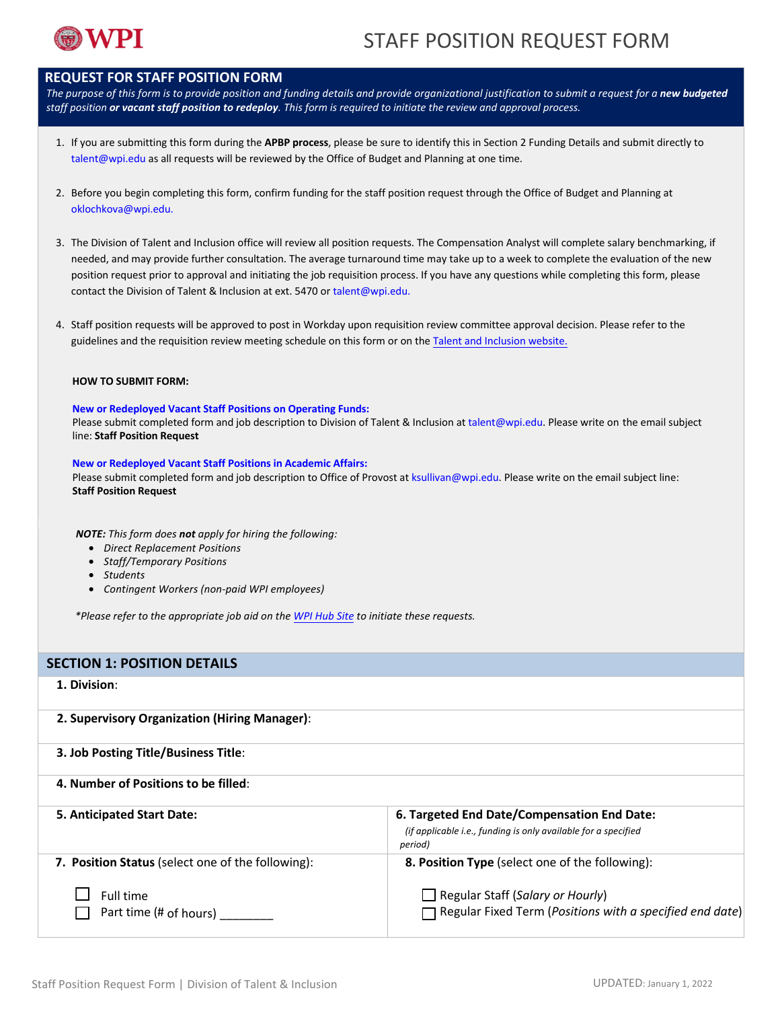

### **REQUEST FOR STAFF POSITION FORM**

*The purpose of this form is to provide position and funding details and provide organizational justification to submit a request for a new budgeted staff position or vacant staff position to redeploy. This form is required to initiate the review and approval process.*

- 1. If you are submitting this form during the **APBP process**, please be sure to identify this in Section 2 Funding Details and submit directly to talent@wpi.edu as all requests will be reviewed by the Office of Budget and Planning at one time.
- 2. Before you begin completing this form, confirm funding for the staff position request through the Office of Budget and Planning at [oklochkova@wpi.edu.](mailto:oklochkova@wpi.edu)
- 3. The Division of Talent and Inclusion office will review all position [requests.](mailto:talent@wpi.edu) The Compensation Analyst will complete salary benchmarking, if needed, and may provide further consultation. The average turnaround time may take up to a week to complete the evaluation of the new position request prior to approval and initiating the job requisition process. If you have any questions while completing this form, please contact the Division of Talent & Inclusion at ext. 5470 or talent@wpi.edu.
- 4. Staff position requests will be approved to post in Workday upon requisition review committee approval decision. Please refer to the guidelines and the requisition review meeting schedule on this form or on the Talent and [Inclusion](https://www.wpi.edu/offices/talent/policies-compliance-notices/policies) website.

### **HOW TO SUBMIT FORM:**

### **New or Redeployed Vacant Staff Positions on Operating Funds:**

Please submit completed form and job description to Division of Talent & Inclusion at talent@wpi.edu. Please write on the email subject line: **Staff Position Request**

#### **New or Redeployed Vacant Staff Positions in Academic Affairs:**

Please submit completed form and job description to Office of Provost at ksullivan@wpi.edu. Please write on the email subject line: **Staff Position Request**

*NOTE: This form does not apply for hiring the following:*

- *Direct Replacement Positions*
- *Staff/Temporary Positions*
- *Students*
- *Contingent Workers (non-paid WPI employees)*

*\*Please refer to the appropriate job aid on the [WPI Hub Site](https://hub.wpi.edu/s/13/hiring) to initiate these requests.*

### **SECTION 1: POSITION DETAILS**

### **1. Division**:

**2. Supervisory Organization (Hiring Manager)**:

**3. Job Posting Title/Business Title**: **4. Number of Positions to be filled**:

| 5. Anticipated Start Date:                        | 6. Targeted End Date/Compensation End Date:                                                                |
|---------------------------------------------------|------------------------------------------------------------------------------------------------------------|
|                                                   | (if applicable i.e., funding is only available for a specified<br>period)                                  |
| 7. Position Status (select one of the following): | 8. Position Type (select one of the following):                                                            |
| Full time<br>Part time (# of hours)               | $\Box$ Regular Staff (Salary or Hourly)<br>$\Box$ Regular Fixed Term (Positions with a specified end date) |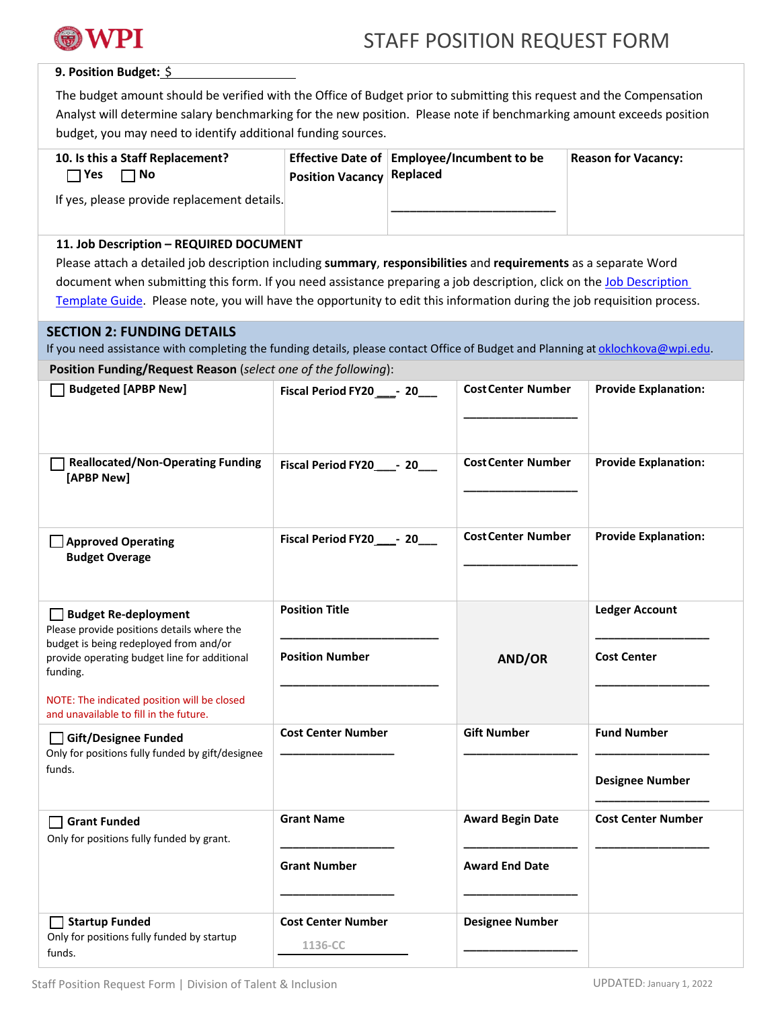

### **9. Position Budget:** \$

The budget amount should be verified with the Office of Budget prior to submitting this request and the Compensation Analyst will determine salary benchmarking for the new position. Please note if benchmarking amount exceeds position budget, you may need to identify additional funding sources.

| 10. Is this a Staff Replacement?<br>TYes -<br>∃ No | <b>Position Vacancy Replaced</b> | Effective Date of Employee/Incumbent to be | <b>Reason for Vacancy:</b> |
|----------------------------------------------------|----------------------------------|--------------------------------------------|----------------------------|
| If yes, please provide replacement details.        |                                  |                                            |                            |

# **11. Job Description – REQUIRED DOCUMENT**

**Position Funding/Request Reason** (*select one of the following*):

Please attach a detailed job description including **summary**, **responsibilities** and **requirements** as a separate Word document when submitting this form. If you need assistance preparing a job description, click on the [Job Description](https://wpi0.sharepoint.com/SitePages/hr.aspx) [Template Guide.](https://wpi0.sharepoint.com/SitePages/hr.aspx) Please note, you will have the opportunity to edit this information during the job requisition process.

# **SECTION 2: FUNDING DETAILS**

If you need assistance with completing the funding details, please contact Office of Budget and Planning a[t oklochkova@wpi.edu.](mailto:oklochkova@wpi.edu)

| <b>Position Funding/Request Reason</b> ( <i>select one of the following</i> ).                               |                                      |                           |                             |
|--------------------------------------------------------------------------------------------------------------|--------------------------------------|---------------------------|-----------------------------|
| <b>Budgeted [APBP New]</b>                                                                                   | Fiscal Period FY20 ____- 20___       | <b>Cost Center Number</b> | <b>Provide Explanation:</b> |
| <b>Reallocated/Non-Operating Funding</b><br>[APBP New]                                                       | Fiscal Period FY20 _____ 20          | <b>Cost Center Number</b> | <b>Provide Explanation:</b> |
| Approved Operating<br><b>Budget Overage</b>                                                                  | Fiscal Period FY20_____- 20____      | <b>Cost Center Number</b> | <b>Provide Explanation:</b> |
| Budget Re-deployment<br>Please provide positions details where the<br>budget is being redeployed from and/or | <b>Position Title</b>                |                           | <b>Ledger Account</b>       |
| provide operating budget line for additional<br>funding.                                                     | <b>Position Number</b>               | AND/OR                    | <b>Cost Center</b>          |
| NOTE: The indicated position will be closed<br>and unavailable to fill in the future.                        |                                      |                           |                             |
| Gift/Designee Funded<br>Only for positions fully funded by gift/designee                                     | <b>Cost Center Number</b>            | <b>Gift Number</b>        | <b>Fund Number</b>          |
| funds.                                                                                                       |                                      |                           | <b>Designee Number</b>      |
| <b>Grant Funded</b><br>Only for positions fully funded by grant.                                             | <b>Grant Name</b>                    | <b>Award Begin Date</b>   | <b>Cost Center Number</b>   |
|                                                                                                              | <b>Grant Number</b>                  | <b>Award End Date</b>     |                             |
| Startup Funded<br>Only for positions fully funded by startup<br>funds.                                       | <b>Cost Center Number</b><br>1136-CC | <b>Designee Number</b>    |                             |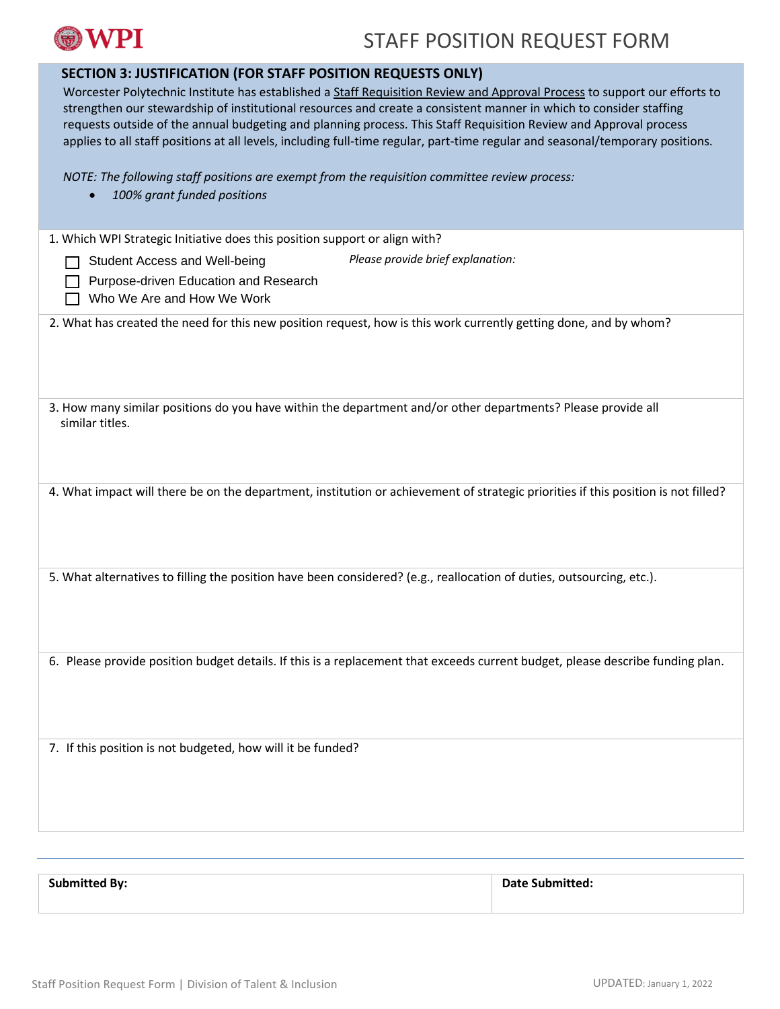

# STAFF POSITION REQUEST FORM

| <b>SECTION 3: JUSTIFICATION (FOR STAFF POSITION REQUESTS ONLY)</b>                                                                                                                                                                      |
|-----------------------------------------------------------------------------------------------------------------------------------------------------------------------------------------------------------------------------------------|
| Worcester Polytechnic Institute has established a Staff Requisition Review and Approval Process to support our efforts to                                                                                                               |
| strengthen our stewardship of institutional resources and create a consistent manner in which to consider staffing<br>requests outside of the annual budgeting and planning process. This Staff Requisition Review and Approval process |
| applies to all staff positions at all levels, including full-time regular, part-time regular and seasonal/temporary positions.                                                                                                          |
|                                                                                                                                                                                                                                         |
| NOTE: The following staff positions are exempt from the requisition committee review process:                                                                                                                                           |
| 100% grant funded positions                                                                                                                                                                                                             |
|                                                                                                                                                                                                                                         |
| 1. Which WPI Strategic Initiative does this position support or align with?                                                                                                                                                             |
| Please provide brief explanation:<br>Student Access and Well-being                                                                                                                                                                      |
| Purpose-driven Education and Research                                                                                                                                                                                                   |
| Who We Are and How We Work                                                                                                                                                                                                              |
| 2. What has created the need for this new position request, how is this work currently getting done, and by whom?                                                                                                                       |
|                                                                                                                                                                                                                                         |
|                                                                                                                                                                                                                                         |
|                                                                                                                                                                                                                                         |
| 3. How many similar positions do you have within the department and/or other departments? Please provide all                                                                                                                            |
| similar titles.                                                                                                                                                                                                                         |
|                                                                                                                                                                                                                                         |
|                                                                                                                                                                                                                                         |
|                                                                                                                                                                                                                                         |
| 4. What impact will there be on the department, institution or achievement of strategic priorities if this position is not filled?                                                                                                      |
|                                                                                                                                                                                                                                         |
|                                                                                                                                                                                                                                         |
|                                                                                                                                                                                                                                         |
| 5. What alternatives to filling the position have been considered? (e.g., reallocation of duties, outsourcing, etc.).                                                                                                                   |
|                                                                                                                                                                                                                                         |
|                                                                                                                                                                                                                                         |
|                                                                                                                                                                                                                                         |
| 6. Please provide position budget details. If this is a replacement that exceeds current budget, please describe funding plan.                                                                                                          |
|                                                                                                                                                                                                                                         |
|                                                                                                                                                                                                                                         |
|                                                                                                                                                                                                                                         |
| 7. If this position is not budgeted, how will it be funded?                                                                                                                                                                             |
|                                                                                                                                                                                                                                         |
|                                                                                                                                                                                                                                         |
|                                                                                                                                                                                                                                         |
|                                                                                                                                                                                                                                         |

| <b>Submitted By:</b> | <b>Date Submitted:</b> |
|----------------------|------------------------|
|                      |                        |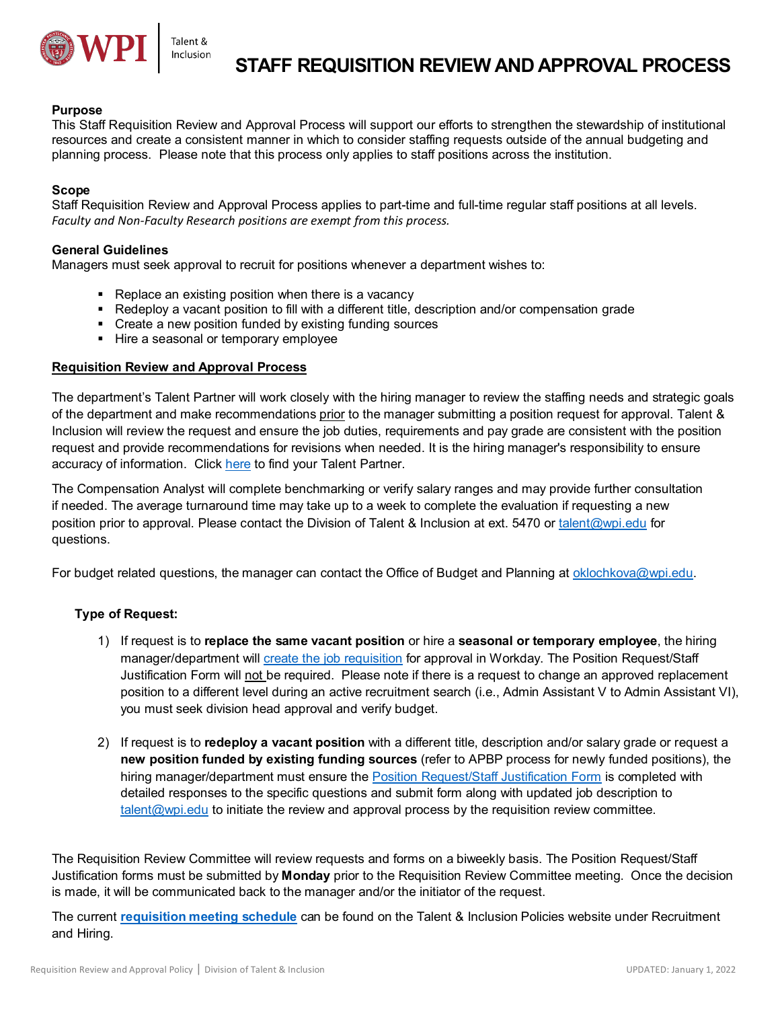

### **Purpose**

This Staff Requisition Review and Approval Process will support our efforts to strengthen the stewardship of institutional resources and create a consistent manner in which to consider staffing requests outside of the annual budgeting and planning process. Please note that this process only applies to staff positions across the institution.

### **Scope**

Staff Requisition Review and Approval Process applies to part-time and full-time regular staff positions at all levels. *Faculty and Non-Faculty Research positions are exempt from this process.*

### **General Guidelines**

Managers must seek approval to recruit for positions whenever a department wishes to:

- **Replace an existing position when there is a vacancy**
- Redeploy a vacant position to fill with a different title, description and/or compensation grade
- Create a new position funded by existing funding sources
- Hire a seasonal or temporary employee

### **Requisition Review and Approval Process**

The department's Talent Partner will work closely with the hiring manager to review the staffing needs and strategic goals of the department and make recommendations prior to the manager submitting a position request for approval. Talent & Inclusion will review the request and ensure the job duties, requirements and pay grade are consistent with the position request and provide recommendations for revisions when needed. It is the hiring manager's responsibility to ensure accuracy of information. Clic[k here](https://www.wpi.edu/sites/default/files/TSPWebsite.pdf) to find your Talent Partner.

The Compensation Analyst will complete benchmarking or verify salary ranges and may provide further consultation if needed. The average turnaround time may take up to a week to complete the evaluation if requesting a new position prior to approval. Please contact the Division of Talent & Inclusion at ext. 5470 or [talent@wpi.edu](mailto:talent@wpi.edu) for questions.

For budget related questions, the manager can contact the Office of Budget and Planning a[t oklochkova@wpi.edu.](mailto:oklochkova@wpi.edu)

### **Type of Request:**

- 1) If request is to **replace the same vacant position** or hire a **seasonal or temporary employee**, the hiring manager/department will create [the job requisition](https://hub.wpi.edu/article/415/create-staff-and-ttntt-faculty-job-requisition) for approval in Workday. The Position Request/Staff Justification Form will not be required. Please note if there is a request to change an approved replacement position to a different level during an active recruitment search (i.e., Admin Assistant V to Admin Assistant VI), you must seek division head approval and verify budget.
- 2) If request is to **redeploy a vacant position** with a different title, description and/or salary grade or request a **new position funded by existing funding sources** (refer to APBP process for newly funded positions), the hiring manager/department must ensure the [Position Request/Staff Justification Form](https://www.wpi.edu/offices/talent/forms) is completed with detailed responses to the specific questions and submit form along with updated job description to [talent@wpi.edu](mailto:talent@wpi.edu) to initiate the review and approval process by the requisition review committee.

The Requisition Review Committee will review requests and forms on a biweekly basis. The Position Request/Staff Justification forms must be submitted by **Monday** prior to the Requisition Review Committee meeting. Once the decision is made, it will be communicated back to the manager and/or the initiator of the request.

The current **requisition [meeting schedule](https://www.wpi.edu/sites/default/files/2022RequisitionReviewCommitteeMeetingSchedule.pdf)** can be found on the Talent & Inclusion Policies website under Recruitment and Hiring.